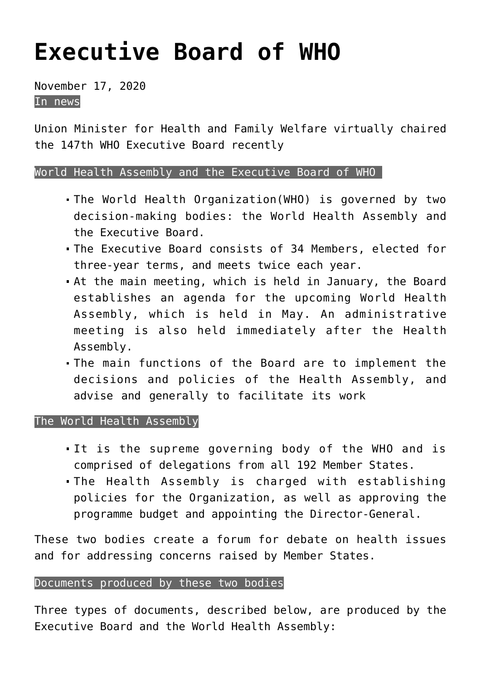## **[Executive Board of WHO](https://journalsofindia.com/executive-board-of-who/)**

November 17, 2020 In news

Union Minister for Health and Family Welfare virtually chaired the 147th WHO Executive Board recently

## World Health Assembly and the Executive Board of WHO

- The World Health Organization(WHO) is governed by two decision-making bodies: the World Health Assembly and the Executive Board.
- The Executive Board consists of 34 Members, elected for three-year terms, and meets twice each year.
- At the main meeting, which is held in January, the Board establishes an agenda for the upcoming World Health Assembly, which is held in May. An administrative meeting is also held immediately after the Health Assembly.
- The main functions of the Board are to implement the decisions and policies of the Health Assembly, and advise and generally to facilitate its work

## The World Health Assembly

- It is the supreme governing body of the WHO and is comprised of delegations from all 192 Member States.
- The Health Assembly is charged with establishing policies for the Organization, as well as approving the programme budget and appointing the Director-General.

These two bodies create a forum for debate on health issues and for addressing concerns raised by Member States.

## Documents produced by these two bodies

Three types of documents, described below, are produced by the Executive Board and the World Health Assembly: